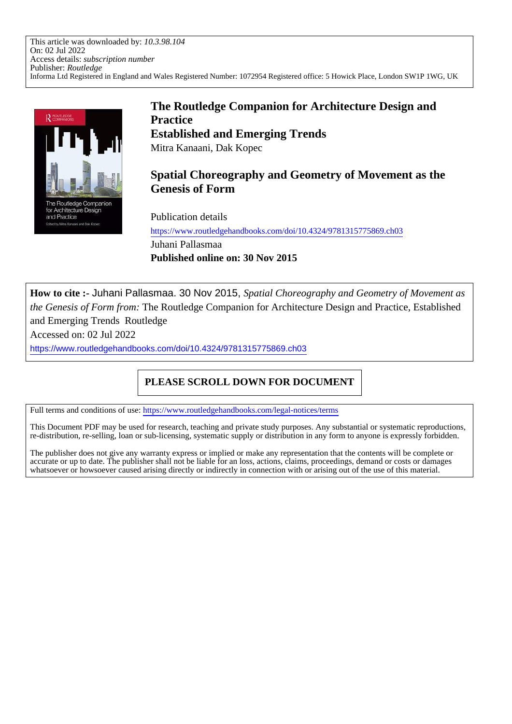

or Architecture Design and Practice

# **The Routledge Companion for Architecture Design and Practice Established and Emerging Trends** Mitra Kanaani, Dak Kopec

# **Spatial Choreography and Geometry of Movement as the Genesis of Form**

Publication details

https://www.routledgehandbooks.com/doi/10.4324/9781315775869.ch03 Juhani Pallasmaa **Published online on: 30 Nov 2015**

**How to cite :-** Juhani Pallasmaa. 30 Nov 2015, *Spatial Choreography and Geometry of Movement as the Genesis of Form from:* The Routledge Companion for Architecture Design and Practice, Established and Emerging Trends Routledge Accessed on: 02 Jul 2022

https://www.routledgehandbooks.com/doi/10.4324/9781315775869.ch03

# **PLEASE SCROLL DOWN FOR DOCUMENT**

Full terms and conditions of use: https://www.routledgehandbooks.com/legal-notices/terms

This Document PDF may be used for research, teaching and private study purposes. Any substantial or systematic reproductions, re-distribution, re-selling, loan or sub-licensing, systematic supply or distribution in any form to anyone is expressly forbidden.

The publisher does not give any warranty express or implied or make any representation that the contents will be complete or accurate or up to date. The publisher shall not be liable for an loss, actions, claims, proceedings, demand or costs or damages whatsoever or howsoever caused arising directly or indirectly in connection with or arising out of the use of this material.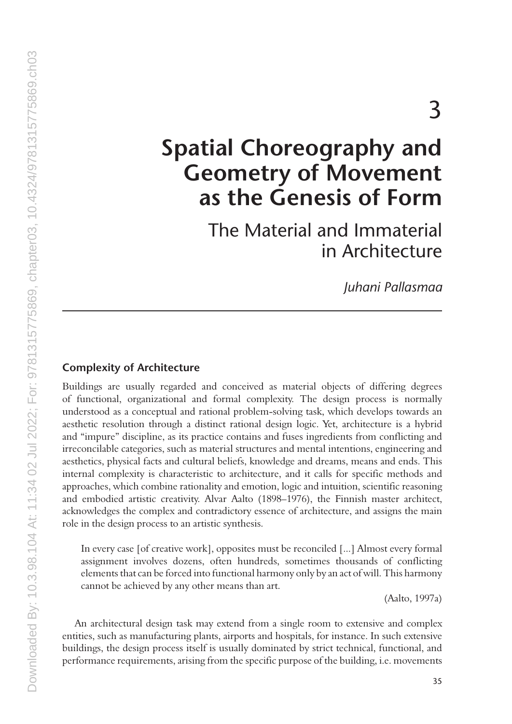# **Spatial Choreography and Geometry of Movement as the Genesis of Form**

The Material and Immaterial in Architecture

*Juhani Pallasmaa*

# **Complexity of Architecture**

Buildings are usually regarded and conceived as material objects of differing degrees of functional, organizational and formal complexity. The design process is normally understood as a conceptual and rational problem-solving task, which develops towards an aesthetic resolution through a distinct rational design logic. Yet, architecture is a hybrid and "impure" discipline, as its practice contains and fuses ingredients from conflicting and irreconcilable categories, such as material structures and mental intentions, engineering and aesthetics, physical facts and cultural beliefs, knowledge and dreams, means and ends. This internal complexity is characteristic to architecture, and it calls for specific methods and approaches, which combine rationality and emotion, logic and intuition, scientific reasoning and embodied artistic creativity. Alvar Aalto (1898–1976), the Finnish master architect, acknowledges the complex and contradictory essence of architecture, and assigns the main role in the design process to an artistic synthesis.

In every case [of creative work], opposites must be reconciled [...] Almost every formal assignment involves dozens, often hundreds, sometimes thousands of conflicting elements that can be forced into functional harmony only by an act of will. This harmony cannot be achieved by any other means than art.

(Aalto, 1997a)

An architectural design task may extend from a single room to extensive and complex entities, such as manufacturing plants, airports and hospitals, for instance. In such extensive buildings, the design process itself is usually dominated by strict technical, functional, and performance requirements, arising from the specific purpose of the building, i.e. movements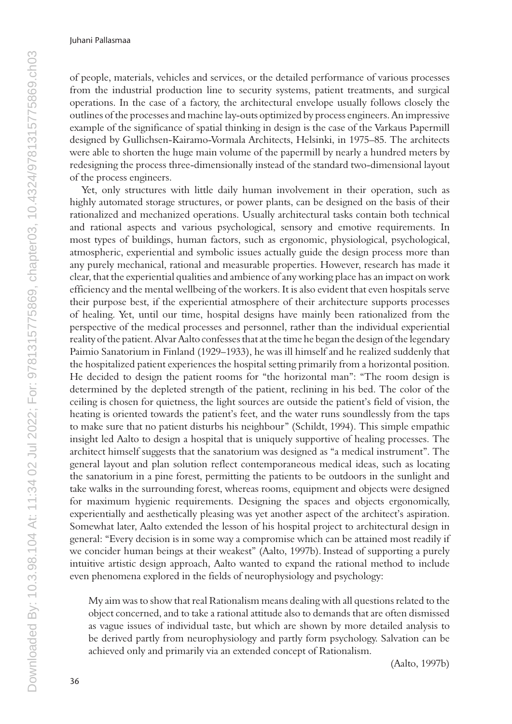of people, materials, vehicles and services, or the detailed performance of various processes from the industrial production line to security systems, patient treatments, and surgical operations. In the case of a factory, the architectural envelope usually follows closely the outlines of the processes and machine lay-outs optimized by process engineers. An impressive example of the significance of spatial thinking in design is the case of the Varkaus Papermill designed by Gullichsen-Kairamo-Vormala Architects, Helsinki, in 1975–85. The architects were able to shorten the huge main volume of the papermill by nearly a hundred meters by redesigning the process three-dimensionally instead of the standard two-dimensional layout of the process engineers.

Yet, only structures with little daily human involvement in their operation, such as highly automated storage structures, or power plants, can be designed on the basis of their rationalized and mechanized operations. Usually architectural tasks contain both technical and rational aspects and various psychological, sensory and emotive requirements. In most types of buildings, human factors, such as ergonomic, physiological, psychological, atmospheric, experiential and symbolic issues actually guide the design process more than any purely mechanical, rational and measurable properties. However, research has made it clear, that the experiential qualities and ambience of any working place has an impact on work efficiency and the mental wellbeing of the workers. It is also evident that even hospitals serve their purpose best, if the experiential atmosphere of their architecture supports processes of healing. Yet, until our time, hospital designs have mainly been rationalized from the perspective of the medical processes and personnel, rather than the individual experiential reality of the patient. Alvar Aalto confesses that at the time he began the design of the legendary Paimio Sanatorium in Finland (1929–1933), he was ill himself and he realized suddenly that the hospitalized patient experiences the hospital setting primarily from a horizontal position. He decided to design the patient rooms for "the horizontal man": "The room design is determined by the depleted strength of the patient, reclining in his bed. The color of the ceiling is chosen for quietness, the light sources are outside the patient's field of vision, the heating is oriented towards the patient's feet, and the water runs soundlessly from the taps to make sure that no patient disturbs his neighbour" (Schildt, 1994). This simple empathic insight led Aalto to design a hospital that is uniquely supportive of healing processes. The architect himself suggests that the sanatorium was designed as "a medical instrument". The general layout and plan solution reflect contemporaneous medical ideas, such as locating the sanatorium in a pine forest, permitting the patients to be outdoors in the sunlight and take walks in the surrounding forest, whereas rooms, equipment and objects were designed for maximum hygienic requirements. Designing the spaces and objects ergonomically, experientially and aesthetically pleasing was yet another aspect of the architect's aspiration. Somewhat later, Aalto extended the lesson of his hospital project to architectural design in general: "Every decision is in some way a compromise which can be attained most readily if we concider human beings at their weakest" (Aalto, 1997b). Instead of supporting a purely intuitive artistic design approach, Aalto wanted to expand the rational method to include even phenomena explored in the fields of neurophysiology and psychology:

My aim was to show that real Rationalism means dealing with all questions related to the object concerned, and to take a rational attitude also to demands that are often dismissed as vague issues of individual taste, but which are shown by more detailed analysis to be derived partly from neurophysiology and partly form psychology. Salvation can be achieved only and primarily via an extended concept of Rationalism.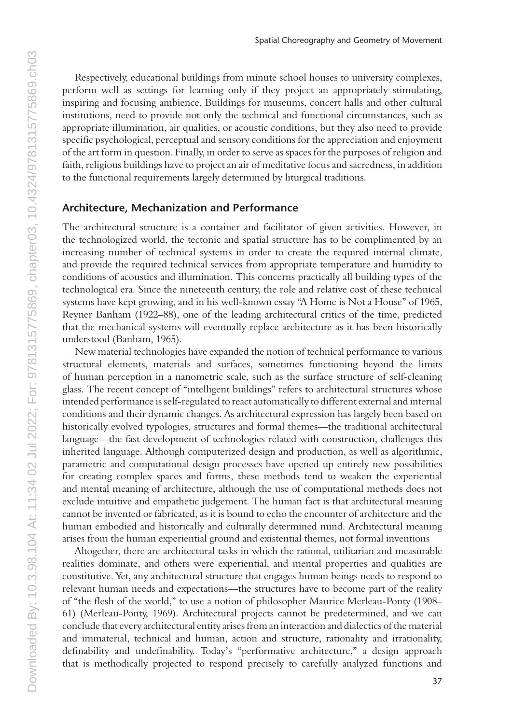Respectively, educational buildings from minute school houses to university complexes, perform well as settings for learning only if they project an appropriately stimulating, inspiring and focusing ambience. Buildings for museums, concert halls and other cultural institutions, need to provide not only the technical and functional circumstances, such as appropriate illumination, air qualities, or acoustic conditions, but they also need to provide specific psychological, perceptual and sensory conditions for the appreciation and enjoyment of the art form in question. Finally, in order to serve as spaces for the purposes of religion and faith, religious buildings have to project an air of meditative focus and sacredness, in addition to the functional requirements largely determined by liturgical traditions.

## **Architecture, Mechanization and Performance**

The architectural structure is a container and facilitator of given activities. However, in the technologized world, the tectonic and spatial structure has to be complimented by an increasing number of technical systems in order to create the required internal climate, and provide the required technical services from appropriate temperature and humidity to conditions of acoustics and illumination. This concerns practically all building types of the technological era. Since the nineteenth century, the role and relative cost of these technical systems have kept growing, and in his well-known essay "A Home is Not a House" of 1965, Reyner Banham (1922–88), one of the leading architectural critics of the time, predicted that the mechanical systems will eventually replace architecture as it has been historically understood (Banham, 1965).

New material technologies have expanded the notion of technical performance to various structural elements, materials and surfaces, sometimes functioning beyond the limits of human perception in a nanometric scale, such as the surface structure of self-cleaning glass. The recent concept of "intelligent buildings" refers to architectural structures whose intended performance is self-regulated to react automatically to different external and internal conditions and their dynamic changes. As architectural expression has largely been based on historically evolved typologies, structures and formal themes—the traditional architectural language—the fast development of technologies related with construction, challenges this inherited language. Although computerized design and production, as well as algorithmic, parametric and computational design processes have opened up entirely new possibilities for creating complex spaces and forms, these methods tend to weaken the experiential and mental meaning of architecture, although the use of computational methods does not exclude intuitive and empathetic judgement. The human fact is that architectural meaning cannot be invented or fabricated, as it is bound to echo the encounter of architecture and the human embodied and historically and culturally determined mind. Architectural meaning arises from the human experiential ground and existential themes, not formal inventions

Altogether, there are architectural tasks in which the rational, utilitarian and measurable realities dominate, and others were experiential, and mental properties and qualities are constitutive. Yet, any architectural structure that engages human beings needs to respond to relevant human needs and expectations—the structures have to become part of the reality of "the flesh of the world," to use a notion of philosopher Maurice Merleau-Ponty (1908– 61) (Merleau-Ponty, 1969). Architectural projects cannot be predetermined, and we can conclude that every architectural entity arises from an interaction and dialectics of the material and immaterial, technical and human, action and structure, rationality and irrationality, definability and undefinability. Today's "performative architecture," a design approach that is methodically projected to respond precisely to carefully analyzed functions and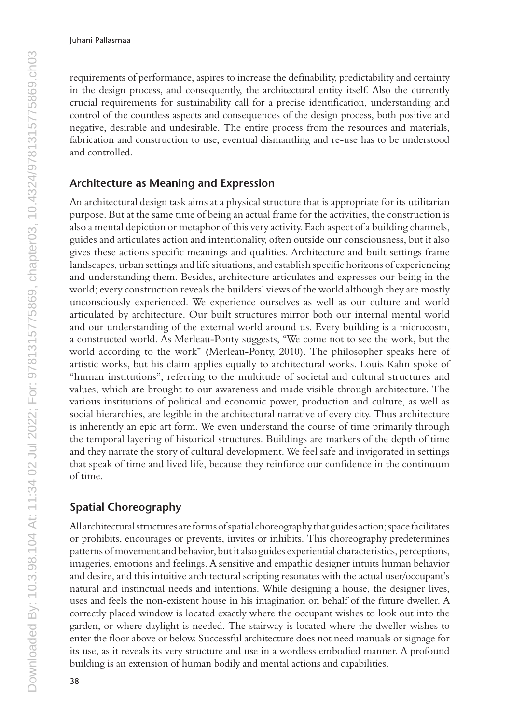requirements of performance, aspires to increase the definability, predictability and certainty in the design process, and consequently, the architectural entity itself. Also the currently crucial requirements for sustainability call for a precise identification, understanding and control of the countless aspects and consequences of the design process, both positive and negative, desirable and undesirable. The entire process from the resources and materials, fabrication and construction to use, eventual dismantling and re-use has to be understood and controlled.

# **Architecture as Meaning and Expression**

An architectural design task aims at a physical structure that is appropriate for its utilitarian purpose. But at the same time of being an actual frame for the activities, the construction is also a mental depiction or metaphor of this very activity. Each aspect of a building channels, guides and articulates action and intentionality, often outside our consciousness, but it also gives these actions specific meanings and qualities. Architecture and built settings frame landscapes, urban settings and life situations, and establish specific horizons of experiencing and understanding them. Besides, architecture articulates and expresses our being in the world; every construction reveals the builders' views of the world although they are mostly unconsciously experienced. We experience ourselves as well as our culture and world articulated by architecture. Our built structures mirror both our internal mental world and our understanding of the external world around us. Every building is a microcosm, a constructed world. As Merleau-Ponty suggests, "We come not to see the work, but the world according to the work" (Merleau-Ponty, 2010). The philosopher speaks here of artistic works, but his claim applies equally to architectural works. Louis Kahn spoke of "human institutions", referring to the multitude of societal and cultural structures and values, which are brought to our awareness and made visible through architecture. The various institutions of political and economic power, production and culture, as well as social hierarchies, are legible in the architectural narrative of every city. Thus architecture is inherently an epic art form. We even understand the course of time primarily through the temporal layering of historical structures. Buildings are markers of the depth of time and they narrate the story of cultural development. We feel safe and invigorated in settings that speak of time and lived life, because they reinforce our confidence in the continuum of time.

# **Spatial Choreography**

All architectural structures are forms of spatial choreography that guides action; space facilitates or prohibits, encourages or prevents, invites or inhibits. This choreography predetermines patterns of movement and behavior, but it also guides experiential characteristics, perceptions, imageries, emotions and feelings. A sensitive and empathic designer intuits human behavior and desire, and this intuitive architectural scripting resonates with the actual user/occupant's natural and instinctual needs and intentions. While designing a house, the designer lives, uses and feels the non-existent house in his imagination on behalf of the future dweller. A correctly placed window is located exactly where the occupant wishes to look out into the garden, or where daylight is needed. The stairway is located where the dweller wishes to enter the floor above or below. Successful architecture does not need manuals or signage for its use, as it reveals its very structure and use in a wordless embodied manner. A profound building is an extension of human bodily and mental actions and capabilities.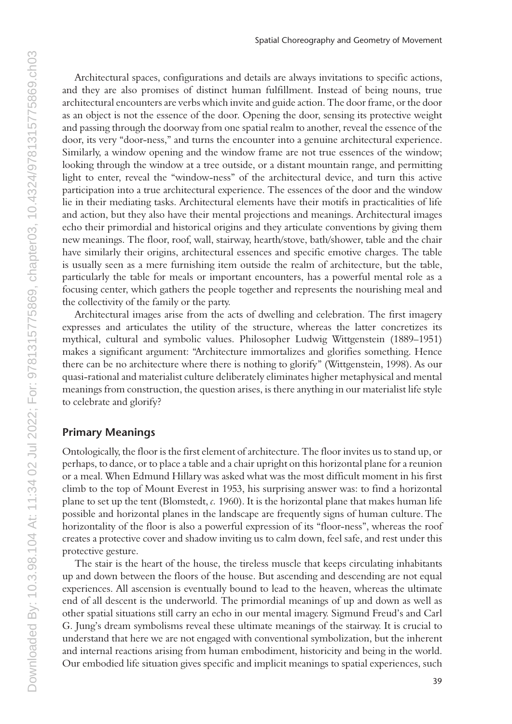Architectural spaces, configurations and details are always invitations to specific actions, and they are also promises of distinct human fulfillment. Instead of being nouns, true architectural encounters are verbs which invite and guide action. The door frame, or the door as an object is not the essence of the door. Opening the door, sensing its protective weight and passing through the doorway from one spatial realm to another, reveal the essence of the door, its very "door-ness," and turns the encounter into a genuine architectural experience. Similarly, a window opening and the window frame are not true essences of the window; looking through the window at a tree outside, or a distant mountain range, and permitting light to enter, reveal the "window-ness" of the architectural device, and turn this active participation into a true architectural experience. The essences of the door and the window lie in their mediating tasks. Architectural elements have their motifs in practicalities of life and action, but they also have their mental projections and meanings. Architectural images echo their primordial and historical origins and they articulate conventions by giving them new meanings. The floor, roof, wall, stairway, hearth/stove, bath/shower, table and the chair have similarly their origins, architectural essences and specific emotive charges. The table is usually seen as a mere furnishing item outside the realm of architecture, but the table, particularly the table for meals or important encounters, has a powerful mental role as a focusing center, which gathers the people together and represents the nourishing meal and the collectivity of the family or the party.

Architectural images arise from the acts of dwelling and celebration. The first imagery expresses and articulates the utility of the structure, whereas the latter concretizes its mythical, cultural and symbolic values. Philosopher Ludwig Wittgenstein (1889–1951) makes a significant argument: "Architecture immortalizes and glorifies something. Hence there can be no architecture where there is nothing to glorify" (Wittgenstein, 1998). As our quasi-rational and materialist culture deliberately eliminates higher metaphysical and mental meanings from construction, the question arises, is there anything in our materialist life style to celebrate and glorify?

# **Primary Meanings**

Ontologically, the floor is the first element of architecture. The floor invites us to stand up, or perhaps, to dance, or to place a table and a chair upright on this horizontal plane for a reunion or a meal. When Edmund Hillary was asked what was the most difficult moment in his first climb to the top of Mount Everest in 1953, his surprising answer was: to find a horizontal plane to set up the tent (Blomstedt, *c.* 1960). It is the horizontal plane that makes human life possible and horizontal planes in the landscape are frequently signs of human culture. The horizontality of the floor is also a powerful expression of its "floor-ness", whereas the roof creates a protective cover and shadow inviting us to calm down, feel safe, and rest under this protective gesture.

The stair is the heart of the house, the tireless muscle that keeps circulating inhabitants up and down between the floors of the house. But ascending and descending are not equal experiences. All ascension is eventually bound to lead to the heaven, whereas the ultimate end of all descent is the underworld. The primordial meanings of up and down as well as other spatial situations still carry an echo in our mental imagery. Sigmund Freud's and Carl G. Jung's dream symbolisms reveal these ultimate meanings of the stairway. It is crucial to understand that here we are not engaged with conventional symbolization, but the inherent and internal reactions arising from human embodiment, historicity and being in the world. Our embodied life situation gives specific and implicit meanings to spatial experiences, such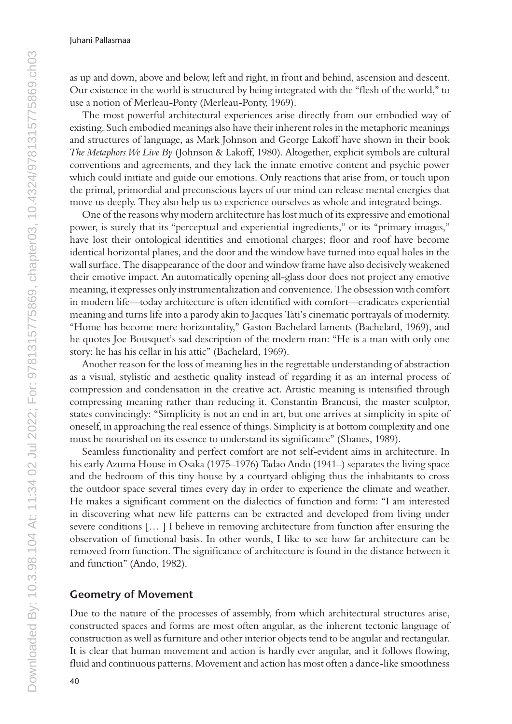as up and down, above and below, left and right, in front and behind, ascension and descent. Our existence in the world is structured by being integrated with the "flesh of the world," to use a notion of Merleau-Ponty (Merleau-Ponty, 1969).

The most powerful architectural experiences arise directly from our embodied way of existing. Such embodied meanings also have their inherent roles in the metaphoric meanings and structures of language, as Mark Johnson and George Lakoff have shown in their book *The Metaphors We Live By* (Johnson & Lakoff, 1980). Altogether, explicit symbols are cultural conventions and agreements, and they lack the innate emotive content and psychic power which could initiate and guide our emotions. Only reactions that arise from, or touch upon the primal, primordial and preconscious layers of our mind can release mental energies that move us deeply. They also help us to experience ourselves as whole and integrated beings.

One of the reasons why modern architecture has lost much of its expressive and emotional power, is surely that its "perceptual and experiential ingredients," or its "primary images," have lost their ontological identities and emotional charges; floor and roof have become identical horizontal planes, and the door and the window have turned into equal holes in the wall surface. The disappearance of the door and window frame have also decisively weakened their emotive impact. An automatically opening all-glass door does not project any emotive meaning, it expresses only instrumentalization and convenience. The obsession with comfort in modern life—today architecture is often identified with comfort—eradicates experiential meaning and turns life into a parody akin to Jacques Tati's cinematic portrayals of modernity. "Home has become mere horizontality," Gaston Bachelard laments (Bachelard, 1969), and he quotes Joe Bousquet's sad description of the modern man: "He is a man with only one story: he has his cellar in his attic" (Bachelard, 1969).

Another reason for the loss of meaning lies in the regrettable understanding of abstraction as a visual, stylistic and aesthetic quality instead of regarding it as an internal process of compression and condensation in the creative act. Artistic meaning is intensified through compressing meaning rather than reducing it. Constantin Brancusi, the master sculptor, states convincingly: "Simplicity is not an end in art, but one arrives at simplicity in spite of oneself, in approaching the real essence of things. Simplicity is at bottom complexity and one must be nourished on its essence to understand its significance" (Shanes, 1989).

Seamless functionality and perfect comfort are not self-evident aims in architecture. In his early Azuma House in Osaka (1975–1976) Tadao Ando (1941–) separates the living space and the bedroom of this tiny house by a courtyard obliging thus the inhabitants to cross the outdoor space several times every day in order to experience the climate and weather. He makes a significant comment on the dialectics of function and form: "I am interested in discovering what new life patterns can be extracted and developed from living under severe conditions [… ] I believe in removing architecture from function after ensuring the observation of functional basis. In other words, I like to see how far architecture can be removed from function. The significance of architecture is found in the distance between it and function" (Ando, 1982).

#### **Geometry of Movement**

Due to the nature of the processes of assembly, from which architectural structures arise, constructed spaces and forms are most often angular, as the inherent tectonic language of construction as well as furniture and other interior objects tend to be angular and rectangular. It is clear that human movement and action is hardly ever angular, and it follows flowing, fluid and continuous patterns. Movement and action has most often a dance-like smoothness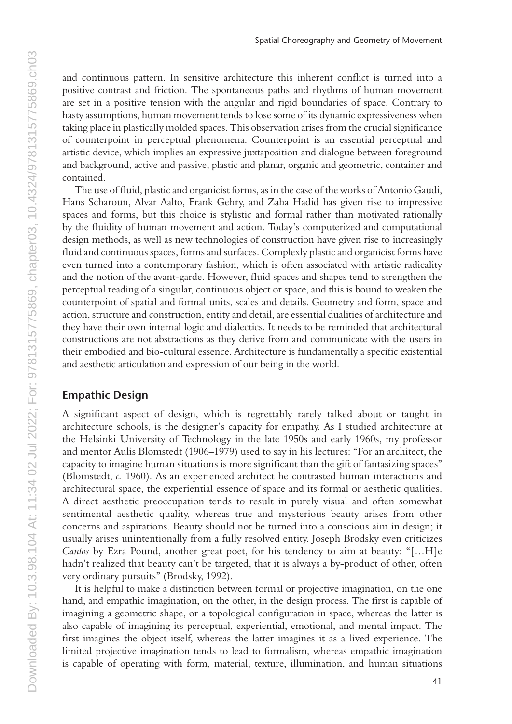and continuous pattern. In sensitive architecture this inherent conflict is turned into a positive contrast and friction. The spontaneous paths and rhythms of human movement are set in a positive tension with the angular and rigid boundaries of space. Contrary to hasty assumptions, human movement tends to lose some of its dynamic expressiveness when taking place in plastically molded spaces. This observation arises from the crucial significance of counterpoint in perceptual phenomena. Counterpoint is an essential perceptual and artistic device, which implies an expressive juxtaposition and dialogue between foreground and background, active and passive, plastic and planar, organic and geometric, container and contained.

The use of fluid, plastic and organicist forms, as in the case of the works of Antonio Gaudi, Hans Scharoun, Alvar Aalto, Frank Gehry, and Zaha Hadid has given rise to impressive spaces and forms, but this choice is stylistic and formal rather than motivated rationally by the fluidity of human movement and action. Today's computerized and computational design methods, as well as new technologies of construction have given rise to increasingly fluid and continuous spaces, forms and surfaces. Complexly plastic and organicist forms have even turned into a contemporary fashion, which is often associated with artistic radicality and the notion of the avant-garde. However, fluid spaces and shapes tend to strengthen the perceptual reading of a singular, continuous object or space, and this is bound to weaken the counterpoint of spatial and formal units, scales and details. Geometry and form, space and action, structure and construction, entity and detail, are essential dualities of architecture and they have their own internal logic and dialectics. It needs to be reminded that architectural constructions are not abstractions as they derive from and communicate with the users in their embodied and bio-cultural essence. Architecture is fundamentally a specific existential and aesthetic articulation and expression of our being in the world.

#### **Empathic Design**

A significant aspect of design, which is regrettably rarely talked about or taught in architecture schools, is the designer's capacity for empathy. As I studied architecture at the Helsinki University of Technology in the late 1950s and early 1960s, my professor and mentor Aulis Blomstedt (1906–1979) used to say in his lectures: "For an architect, the capacity to imagine human situations is more significant than the gift of fantasizing spaces" (Blomstedt, *c.* 1960). As an experienced architect he contrasted human interactions and architectural space, the experiential essence of space and its formal or aesthetic qualities. A direct aesthetic preoccupation tends to result in purely visual and often somewhat sentimental aesthetic quality, whereas true and mysterious beauty arises from other concerns and aspirations. Beauty should not be turned into a conscious aim in design; it usually arises unintentionally from a fully resolved entity. Joseph Brodsky even criticizes *Cantos* by Ezra Pound, another great poet, for his tendency to aim at beauty: "[…H]e hadn't realized that beauty can't be targeted, that it is always a by-product of other, often very ordinary pursuits" (Brodsky, 1992).

It is helpful to make a distinction between formal or projective imagination, on the one hand, and empathic imagination, on the other, in the design process. The first is capable of imagining a geometric shape, or a topological configuration in space, whereas the latter is also capable of imagining its perceptual, experiential, emotional, and mental impact. The first imagines the object itself, whereas the latter imagines it as a lived experience. The limited projective imagination tends to lead to formalism, whereas empathic imagination is capable of operating with form, material, texture, illumination, and human situations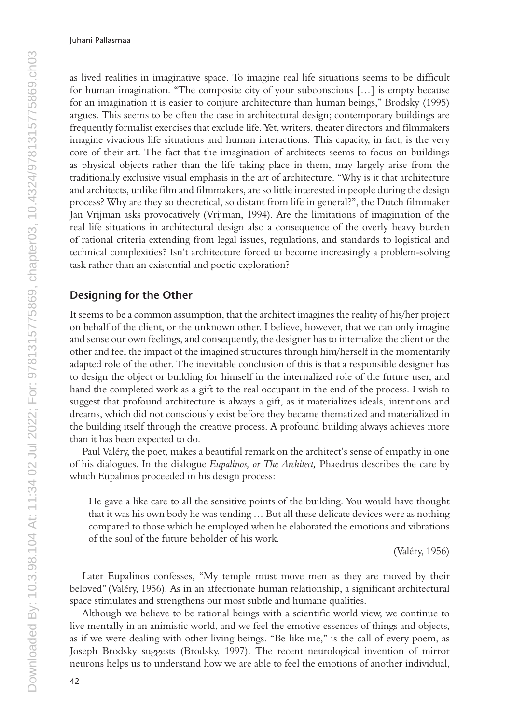as lived realities in imaginative space. To imagine real life situations seems to be difficult for human imagination. "The composite city of your subconscious […] is empty because for an imagination it is easier to conjure architecture than human beings," Brodsky (1995) argues. This seems to be often the case in architectural design; contemporary buildings are frequently formalist exercises that exclude life. Yet, writers, theater directors and filmmakers imagine vivacious life situations and human interactions. This capacity, in fact, is the very core of their art. The fact that the imagination of architects seems to focus on buildings as physical objects rather than the life taking place in them, may largely arise from the traditionally exclusive visual emphasis in the art of architecture. "Why is it that architecture and architects, unlike film and filmmakers, are so little interested in people during the design process? Why are they so theoretical, so distant from life in general?", the Dutch filmmaker Jan Vrijman asks provocatively (Vrijman, 1994). Are the limitations of imagination of the real life situations in architectural design also a consequence of the overly heavy burden of rational criteria extending from legal issues, regulations, and standards to logistical and technical complexities? Isn't architecture forced to become increasingly a problem-solving task rather than an existential and poetic exploration?

## **Designing for the Other**

It seems to be a common assumption, that the architect imagines the reality of his/her project on behalf of the client, or the unknown other. I believe, however, that we can only imagine and sense our own feelings, and consequently, the designer has to internalize the client or the other and feel the impact of the imagined structures through him/herself in the momentarily adapted role of the other. The inevitable conclusion of this is that a responsible designer has to design the object or building for himself in the internalized role of the future user, and hand the completed work as a gift to the real occupant in the end of the process. I wish to suggest that profound architecture is always a gift, as it materializes ideals, intentions and dreams, which did not consciously exist before they became thematized and materialized in the building itself through the creative process. A profound building always achieves more than it has been expected to do.

Paul Valéry, the poet, makes a beautiful remark on the architect's sense of empathy in one of his dialogues. In the dialogue *Eupalinos, or The Architect,* Phaedrus describes the care by which Eupalinos proceeded in his design process:

He gave a like care to all the sensitive points of the building. You would have thought that it was his own body he was tending … But all these delicate devices were as nothing compared to those which he employed when he elaborated the emotions and vibrations of the soul of the future beholder of his work.

(Valéry, 1956)

Later Eupalinos confesses, "My temple must move men as they are moved by their beloved" (Valéry, 1956). As in an affectionate human relationship, a significant architectural space stimulates and strengthens our most subtle and humane qualities.

Although we believe to be rational beings with a scientific world view, we continue to live mentally in an animistic world, and we feel the emotive essences of things and objects, as if we were dealing with other living beings. "Be like me," is the call of every poem, as Joseph Brodsky suggests (Brodsky, 1997). The recent neurological invention of mirror neurons helps us to understand how we are able to feel the emotions of another individual,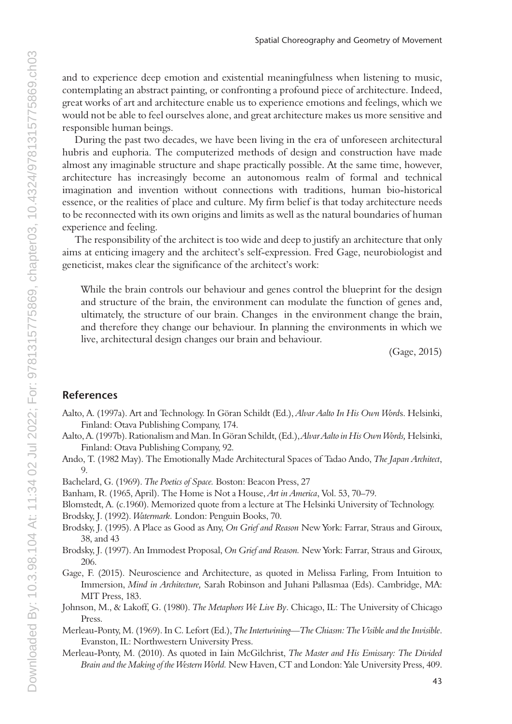and to experience deep emotion and existential meaningfulness when listening to music, contemplating an abstract painting, or confronting a profound piece of architecture. Indeed, great works of art and architecture enable us to experience emotions and feelings, which we would not be able to feel ourselves alone, and great architecture makes us more sensitive and responsible human beings.

During the past two decades, we have been living in the era of unforeseen architectural hubris and euphoria. The computerized methods of design and construction have made almost any imaginable structure and shape practically possible. At the same time, however, architecture has increasingly become an autonomous realm of formal and technical imagination and invention without connections with traditions, human bio-historical essence, or the realities of place and culture. My firm belief is that today architecture needs to be reconnected with its own origins and limits as well as the natural boundaries of human experience and feeling.

The responsibility of the architect is too wide and deep to justify an architecture that only aims at enticing imagery and the architect's self-expression. Fred Gage, neurobiologist and geneticist, makes clear the significance of the architect's work:

While the brain controls our behaviour and genes control the blueprint for the design and structure of the brain, the environment can modulate the function of genes and, ultimately, the structure of our brain. Changes in the environment change the brain, and therefore they change our behaviour. In planning the environments in which we live, architectural design changes our brain and behaviour.

(Gage, 2015)

## **References**

- Aalto, A. (1997a). Art and Technology. In Göran Schildt (Ed.), *Alvar Aalto In His Own Word*s. Helsinki, Finland: Otava Publishing Company, 174.
- Aalto, A. (1997b). Rationalism and Man. In Göran Schildt, (Ed.), *Alvar Aalto in His Own Words,* Helsinki, Finland: Otava Publishing Company, 92.
- Ando, T. (1982 May). The Emotionally Made Architectural Spaces of Tadao Ando, *The Japan Architect*, 9.

Bachelard, G. (1969). *The Poetics of Space.* Boston: Beacon Press, 27

- Banham, R. (1965, April). The Home is Not a House, *Art in America*, Vol. 53, 70–79.
- Blomstedt, A. (c.1960). Memorized quote from a lecture at The Helsinki University of Technology.
- Brodsky, J. (1992). *Watermark.* London: Penguin Books, 70.
- Brodsky, J. (1995). A Place as Good as Any, *On Grief and Reason* New York: Farrar, Straus and Giroux, 38, and 43
- Brodsky, J. (1997). An Immodest Proposal, *On Grief and Reason.* New York: Farrar, Straus and Giroux, 206.
- Gage, F. (2015). Neuroscience and Architecture, as quoted in Melissa Farling, From Intuition to Immersion, *Mind in Architecture,* Sarah Robinson and Juhani Pallasmaa (Eds). Cambridge, MA: MIT Press, 183.
- Johnson, M., & Lakoff, G. (1980). *The Metaphors We Live By*. Chicago, IL: The University of Chicago Press.
- Merleau-Ponty, M. (1969). In C. Lefort (Ed.), *The Intertwining—The Chiasm: The Visible and the Invisible*. Evanston, IL: Northwestern University Press.
- Merleau-Ponty, M. (2010). As quoted in Iain McGilchrist, *The Master and His Emissary: The Divided Brain and the Making of the Western World.* New Haven, CT and London: Yale University Press, 409.